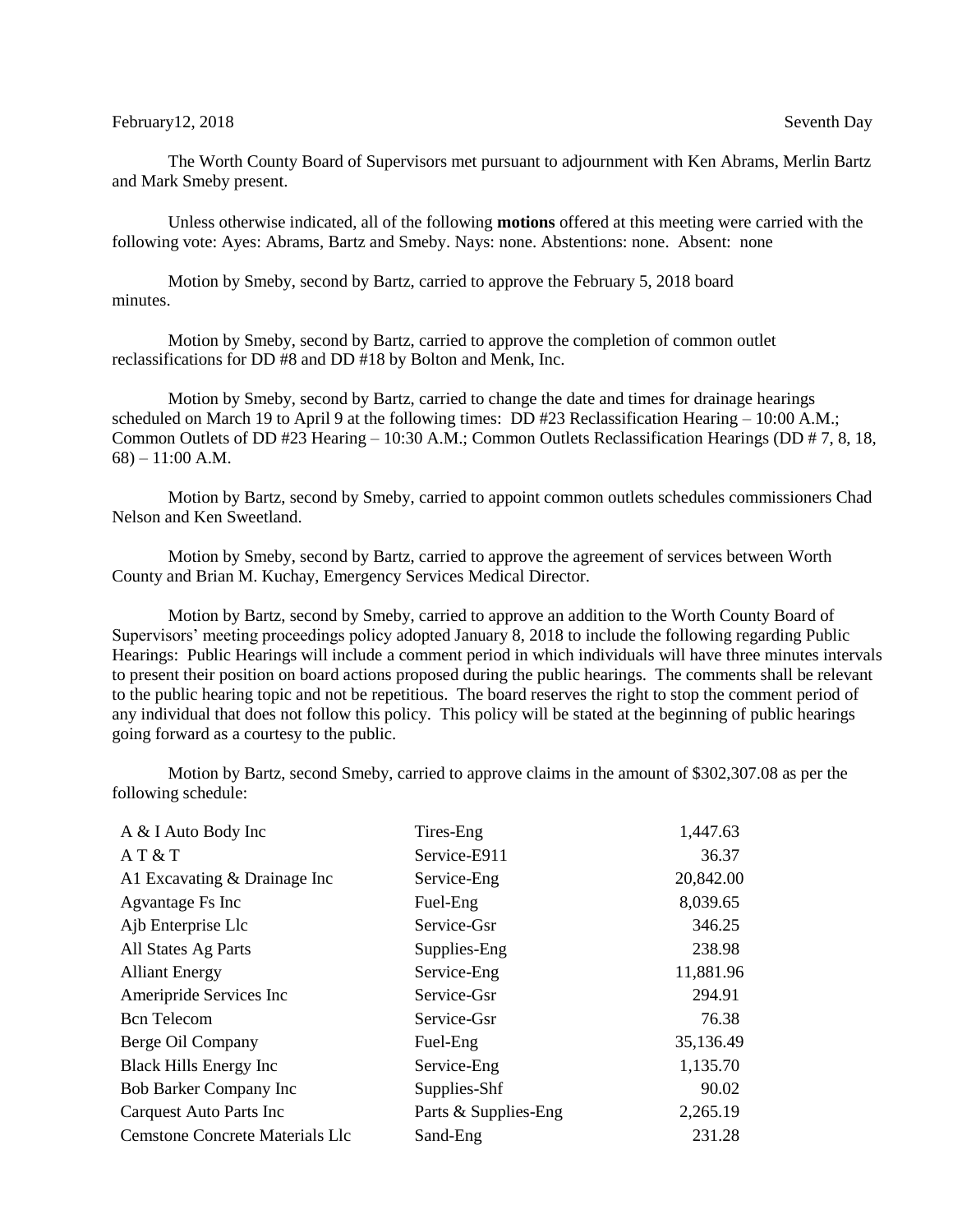## February 12, 2018 Seventh Day Seventh Day

The Worth County Board of Supervisors met pursuant to adjournment with Ken Abrams, Merlin Bartz and Mark Smeby present.

Unless otherwise indicated, all of the following **motions** offered at this meeting were carried with the following vote: Ayes: Abrams, Bartz and Smeby. Nays: none. Abstentions: none. Absent: none

Motion by Smeby, second by Bartz, carried to approve the February 5, 2018 board minutes.

Motion by Smeby, second by Bartz, carried to approve the completion of common outlet reclassifications for DD #8 and DD #18 by Bolton and Menk, Inc.

Motion by Smeby, second by Bartz, carried to change the date and times for drainage hearings scheduled on March 19 to April 9 at the following times: DD #23 Reclassification Hearing – 10:00 A.M.; Common Outlets of DD #23 Hearing – 10:30 A.M.; Common Outlets Reclassification Hearings (DD # 7, 8, 18,  $68$ ) – 11:00 A.M.

Motion by Bartz, second by Smeby, carried to appoint common outlets schedules commissioners Chad Nelson and Ken Sweetland.

Motion by Smeby, second by Bartz, carried to approve the agreement of services between Worth County and Brian M. Kuchay, Emergency Services Medical Director.

Motion by Bartz, second by Smeby, carried to approve an addition to the Worth County Board of Supervisors' meeting proceedings policy adopted January 8, 2018 to include the following regarding Public Hearings: Public Hearings will include a comment period in which individuals will have three minutes intervals to present their position on board actions proposed during the public hearings. The comments shall be relevant to the public hearing topic and not be repetitious. The board reserves the right to stop the comment period of any individual that does not follow this policy. This policy will be stated at the beginning of public hearings going forward as a courtesy to the public.

Motion by Bartz, second Smeby, carried to approve claims in the amount of \$302,307.08 as per the following schedule:

| A & I Auto Body Inc                    | Tires-Eng            | 1,447.63  |
|----------------------------------------|----------------------|-----------|
| AT & T                                 | Service-E911         | 36.37     |
| Al Excavating $&$ Drainage Inc         | Service-Eng          | 20,842.00 |
| Agvantage Fs Inc                       | Fuel-Eng             | 8,039.65  |
| Ajb Enterprise Llc                     | Service-Gsr          | 346.25    |
| All States Ag Parts                    | Supplies-Eng         | 238.98    |
| <b>Alliant Energy</b>                  | Service-Eng          | 11,881.96 |
| Ameripride Services Inc                | Service-Gsr          | 294.91    |
| <b>Bcn</b> Telecom                     | Service-Gsr          | 76.38     |
| Berge Oil Company                      | Fuel-Eng             | 35,136.49 |
| <b>Black Hills Energy Inc</b>          | Service-Eng          | 1,135.70  |
| Bob Barker Company Inc                 | Supplies-Shf         | 90.02     |
| <b>Carquest Auto Parts Inc.</b>        | Parts & Supplies-Eng | 2,265.19  |
| <b>Cemstone Concrete Materials Llc</b> | Sand-Eng             | 231.28    |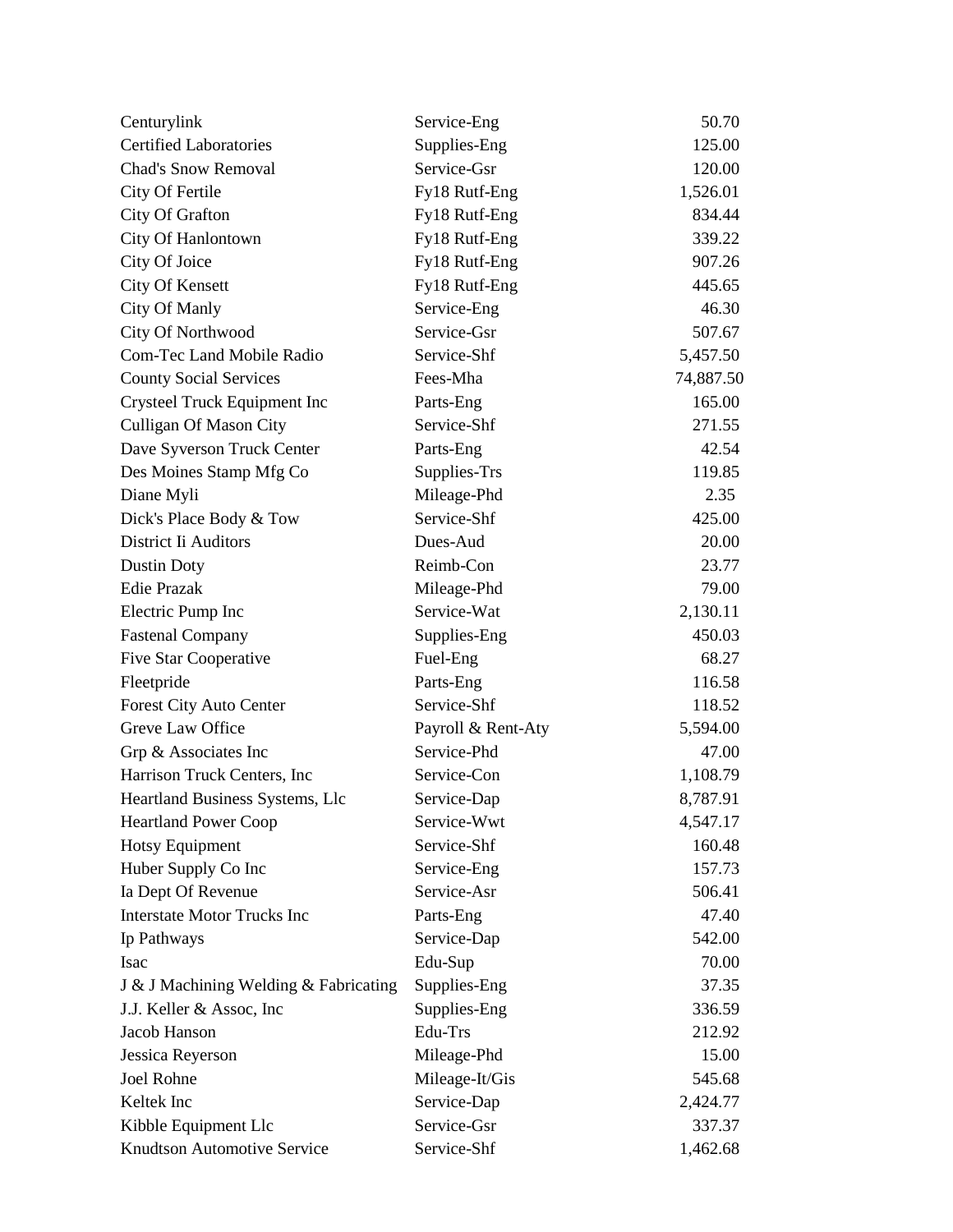| Centurylink                           | Service-Eng        | 50.70     |
|---------------------------------------|--------------------|-----------|
| <b>Certified Laboratories</b>         | Supplies-Eng       | 125.00    |
| <b>Chad's Snow Removal</b>            | Service-Gsr        | 120.00    |
| City Of Fertile                       | Fy18 Rutf-Eng      | 1,526.01  |
| City Of Grafton                       | Fy18 Rutf-Eng      | 834.44    |
| City Of Hanlontown                    | Fy18 Rutf-Eng      | 339.22    |
| City Of Joice                         | Fy18 Rutf-Eng      | 907.26    |
| City Of Kensett                       | Fy18 Rutf-Eng      | 445.65    |
| City Of Manly                         | Service-Eng        | 46.30     |
| City Of Northwood                     | Service-Gsr        | 507.67    |
| Com-Tec Land Mobile Radio             | Service-Shf        | 5,457.50  |
| <b>County Social Services</b>         | Fees-Mha           | 74,887.50 |
| Crysteel Truck Equipment Inc          | Parts-Eng          | 165.00    |
| <b>Culligan Of Mason City</b>         | Service-Shf        | 271.55    |
| Dave Syverson Truck Center            | Parts-Eng          | 42.54     |
| Des Moines Stamp Mfg Co               | Supplies-Trs       | 119.85    |
| Diane Myli                            | Mileage-Phd        | 2.35      |
| Dick's Place Body & Tow               | Service-Shf        | 425.00    |
| District Ii Auditors                  | Dues-Aud           | 20.00     |
| Dustin Doty                           | Reimb-Con          | 23.77     |
| <b>Edie Prazak</b>                    | Mileage-Phd        | 79.00     |
| Electric Pump Inc                     | Service-Wat        | 2,130.11  |
| <b>Fastenal Company</b>               | Supplies-Eng       | 450.03    |
| Five Star Cooperative                 | Fuel-Eng           | 68.27     |
| Fleetpride                            | Parts-Eng          | 116.58    |
| Forest City Auto Center               | Service-Shf        | 118.52    |
| Greve Law Office                      | Payroll & Rent-Aty | 5,594.00  |
| Grp & Associates Inc                  | Service-Phd        | 47.00     |
| Harrison Truck Centers, Inc           | Service-Con        | 1,108.79  |
| Heartland Business Systems, Llc       | Service-Dap        | 8,787.91  |
| <b>Heartland Power Coop</b>           | Service-Wwt        | 4,547.17  |
| <b>Hotsy Equipment</b>                | Service-Shf        | 160.48    |
| Huber Supply Co Inc                   | Service-Eng        | 157.73    |
| Ia Dept Of Revenue                    | Service-Asr        | 506.41    |
| <b>Interstate Motor Trucks Inc</b>    | Parts-Eng          | 47.40     |
| Ip Pathways                           | Service-Dap        | 542.00    |
| <b>Isac</b>                           | Edu-Sup            | 70.00     |
| J & J Machining Welding & Fabricating | Supplies-Eng       | 37.35     |
| J.J. Keller & Assoc, Inc.             | Supplies-Eng       | 336.59    |
| Jacob Hanson                          | Edu-Trs            | 212.92    |
| Jessica Reyerson                      | Mileage-Phd        | 15.00     |
| Joel Rohne                            | Mileage-It/Gis     | 545.68    |
| Keltek Inc                            | Service-Dap        | 2,424.77  |
| Kibble Equipment Llc                  | Service-Gsr        | 337.37    |
| Knudtson Automotive Service           | Service-Shf        | 1,462.68  |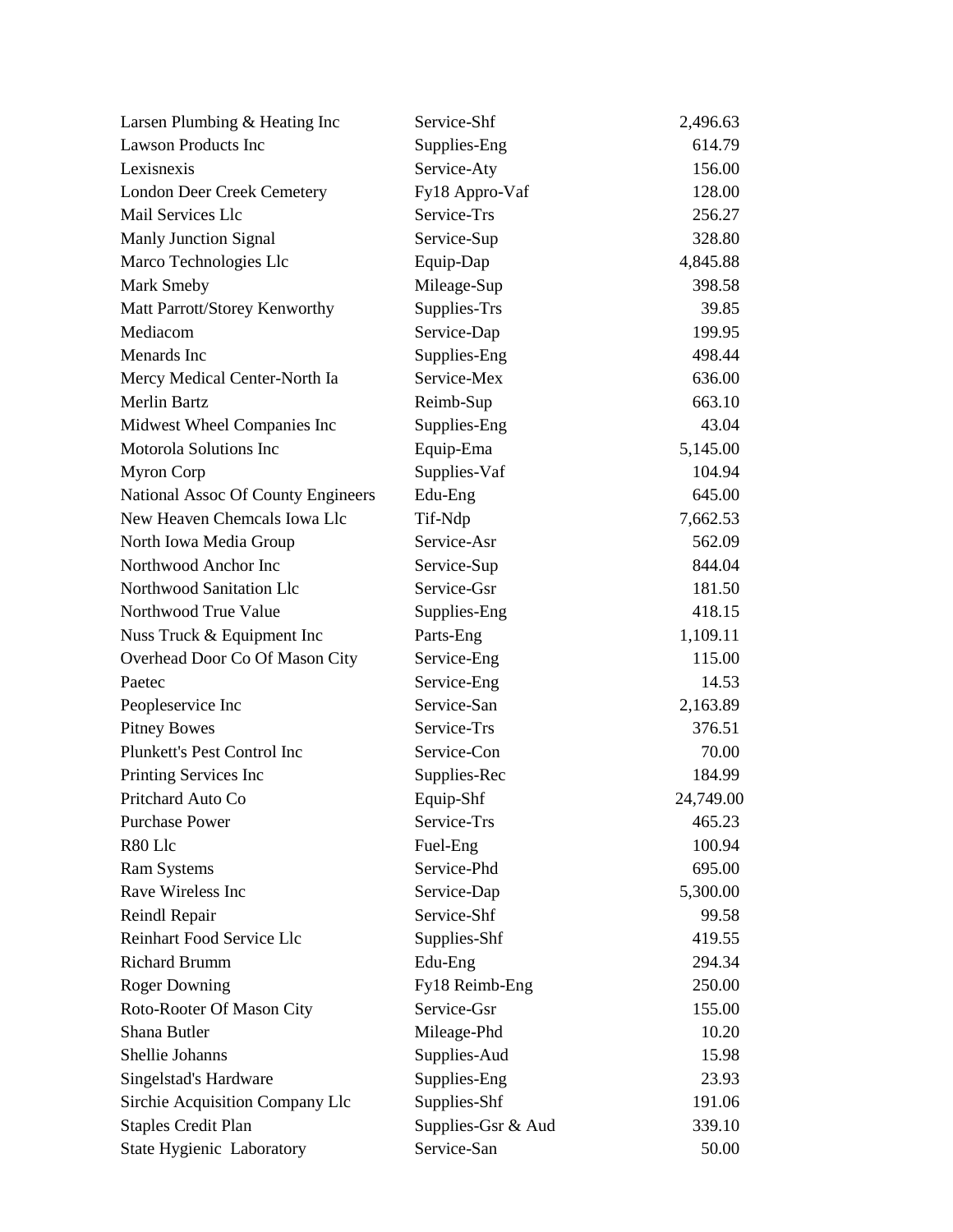| Larsen Plumbing & Heating Inc      | Service-Shf        | 2,496.63  |
|------------------------------------|--------------------|-----------|
| <b>Lawson Products Inc</b>         | Supplies-Eng       | 614.79    |
| Lexisnexis                         | Service-Aty        | 156.00    |
| <b>London Deer Creek Cemetery</b>  | Fy18 Appro-Vaf     | 128.00    |
| Mail Services Llc                  | Service-Trs        | 256.27    |
| Manly Junction Signal              | Service-Sup        | 328.80    |
| Marco Technologies Llc             | Equip-Dap          | 4,845.88  |
| Mark Smeby                         | Mileage-Sup        | 398.58    |
| Matt Parrott/Storey Kenworthy      | Supplies-Trs       | 39.85     |
| Mediacom                           | Service-Dap        | 199.95    |
| Menards Inc                        | Supplies-Eng       | 498.44    |
| Mercy Medical Center-North Ia      | Service-Mex        | 636.00    |
| <b>Merlin Bartz</b>                | Reimb-Sup          | 663.10    |
| Midwest Wheel Companies Inc        | Supplies-Eng       | 43.04     |
| <b>Motorola Solutions Inc</b>      | Equip-Ema          | 5,145.00  |
| <b>Myron Corp</b>                  | Supplies-Vaf       | 104.94    |
| National Assoc Of County Engineers | Edu-Eng            | 645.00    |
| New Heaven Chemcals Iowa Llc       | Tif-Ndp            | 7,662.53  |
| North Iowa Media Group             | Service-Asr        | 562.09    |
| Northwood Anchor Inc               | Service-Sup        | 844.04    |
| Northwood Sanitation Llc           | Service-Gsr        | 181.50    |
| Northwood True Value               | Supplies-Eng       | 418.15    |
| Nuss Truck & Equipment Inc         | Parts-Eng          | 1,109.11  |
| Overhead Door Co Of Mason City     | Service-Eng        | 115.00    |
| Paetec                             | Service-Eng        | 14.53     |
| Peopleservice Inc                  | Service-San        | 2,163.89  |
| <b>Pitney Bowes</b>                | Service-Trs        | 376.51    |
| Plunkett's Pest Control Inc        | Service-Con        | 70.00     |
| Printing Services Inc              | Supplies-Rec       | 184.99    |
| Pritchard Auto Co                  | Equip-Shf          | 24,749.00 |
| <b>Purchase Power</b>              | Service-Trs        | 465.23    |
| R80 Llc                            | Fuel-Eng           | 100.94    |
| <b>Ram Systems</b>                 | Service-Phd        | 695.00    |
| Rave Wireless Inc                  | Service-Dap        | 5,300.00  |
| Reindl Repair                      | Service-Shf        | 99.58     |
| Reinhart Food Service Llc          | Supplies-Shf       | 419.55    |
| <b>Richard Brumm</b>               | Edu-Eng            | 294.34    |
| <b>Roger Downing</b>               | Fy18 Reimb-Eng     | 250.00    |
| Roto-Rooter Of Mason City          | Service-Gsr        | 155.00    |
| Shana Butler                       | Mileage-Phd        | 10.20     |
| Shellie Johanns                    | Supplies-Aud       | 15.98     |
| Singelstad's Hardware              | Supplies-Eng       | 23.93     |
| Sirchie Acquisition Company Llc    | Supplies-Shf       | 191.06    |
| <b>Staples Credit Plan</b>         | Supplies-Gsr & Aud | 339.10    |
| State Hygienic Laboratory          | Service-San        | 50.00     |